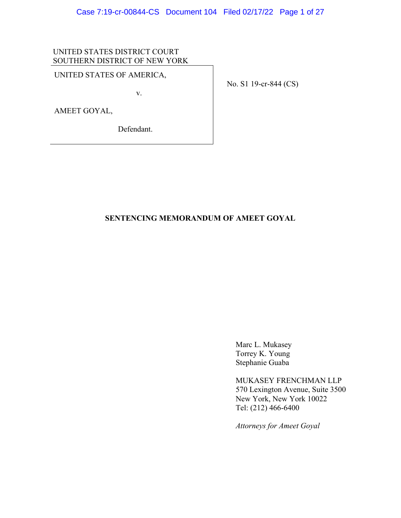# UNITED STATES DISTRICT COURT SOUTHERN DISTRICT OF NEW YORK

# UNITED STATES OF AMERICA,

v.

AMEET GOYAL,

Defendant.

No. S1 19-cr-844 (CS)

# **SENTENCING MEMORANDUM OF AMEET GOYAL**

Marc L. Mukasey Torrey K. Young Stephanie Guaba

MUKASEY FRENCHMAN LLP 570 Lexington Avenue, Suite 3500 New York, New York 10022 Tel: (212) 466-6400

*Attorneys for Ameet Goyal*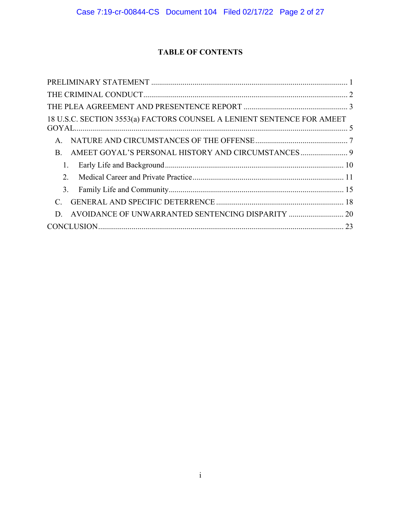# **TABLE OF CONTENTS**

| 18 U.S.C. SECTION 3553(a) FACTORS COUNSEL A LENIENT SENTENCE FOR AMEET |  |
|------------------------------------------------------------------------|--|
| $\mathsf{A}$ .                                                         |  |
| B.                                                                     |  |
| 1.                                                                     |  |
| $\mathcal{D}$                                                          |  |
| 3.                                                                     |  |
|                                                                        |  |
| AVOIDANCE OF UNWARRANTED SENTENCING DISPARITY  20<br>D                 |  |
|                                                                        |  |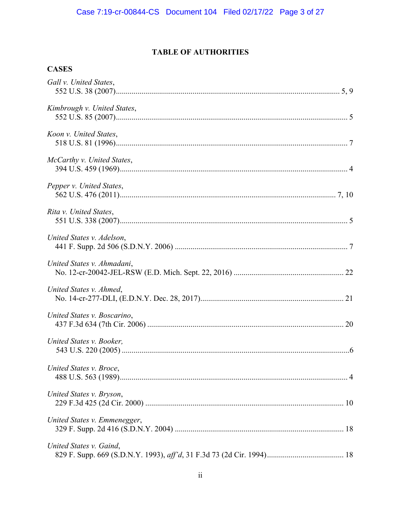# **TABLE OF AUTHORITIES**

# **CASES**

| Gall v. United States,       |
|------------------------------|
| Kimbrough v. United States,  |
| Koon v. United States,       |
| McCarthy v. United States,   |
| Pepper v. United States,     |
| Rita v. United States,       |
| United States v. Adelson,    |
| United States v. Ahmadani,   |
| United States v. Ahmed,      |
| United States v. Boscarino,  |
| United States v. Booker,     |
| United States v. Broce,      |
| United States v. Bryson,     |
| United States v. Emmenegger, |
| United States v. Gaind,      |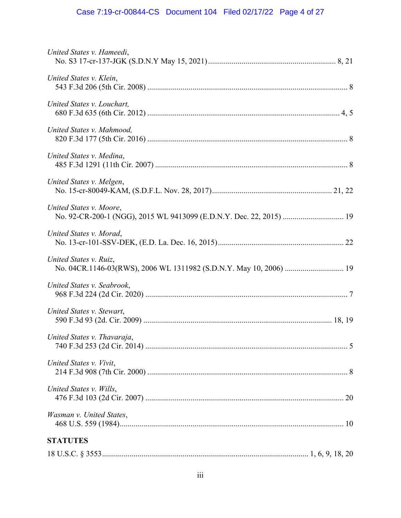# Case 7:19-cr-00844-CS Document 104 Filed 02/17/22 Page 4 of 27

| United States v. Hameedi,   |
|-----------------------------|
| United States v. Klein,     |
| United States v. Louchart.  |
| United States v. Mahmood,   |
| United States v. Medina,    |
| United States v. Melgen,    |
| United States v. Moore,     |
| United States v. Morad,     |
| United States v. Ruiz,      |
| United States v. Seabrook,  |
| United States v. Stewart,   |
| United States v. Thavaraja, |
| United States v. Vivit,     |
| United States v. Wills,     |
| Wasman v. United States,    |
| <b>STATUTES</b>             |
|                             |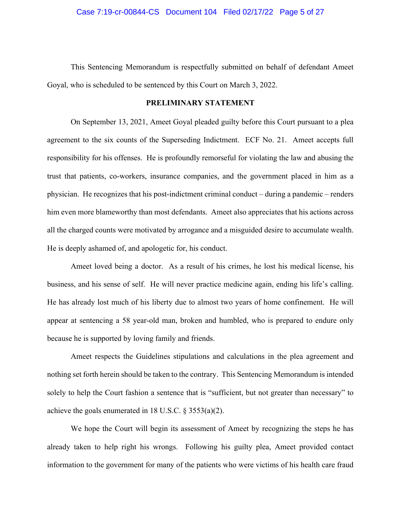This Sentencing Memorandum is respectfully submitted on behalf of defendant Ameet Goyal, who is scheduled to be sentenced by this Court on March 3, 2022.

# **PRELIMINARY STATEMENT**

On September 13, 2021, Ameet Goyal pleaded guilty before this Court pursuant to a plea agreement to the six counts of the Superseding Indictment. ECF No. 21. Ameet accepts full responsibility for his offenses. He is profoundly remorseful for violating the law and abusing the trust that patients, co-workers, insurance companies, and the government placed in him as a physician. He recognizes that his post-indictment criminal conduct – during a pandemic – renders him even more blameworthy than most defendants. Ameet also appreciates that his actions across all the charged counts were motivated by arrogance and a misguided desire to accumulate wealth. He is deeply ashamed of, and apologetic for, his conduct.

Ameet loved being a doctor. As a result of his crimes, he lost his medical license, his business, and his sense of self. He will never practice medicine again, ending his life's calling. He has already lost much of his liberty due to almost two years of home confinement. He will appear at sentencing a 58 year-old man, broken and humbled, who is prepared to endure only because he is supported by loving family and friends.

Ameet respects the Guidelines stipulations and calculations in the plea agreement and nothing set forth herein should be taken to the contrary. This Sentencing Memorandum is intended solely to help the Court fashion a sentence that is "sufficient, but not greater than necessary" to achieve the goals enumerated in 18 U.S.C. § 3553(a)(2).

We hope the Court will begin its assessment of Ameet by recognizing the steps he has already taken to help right his wrongs. Following his guilty plea, Ameet provided contact information to the government for many of the patients who were victims of his health care fraud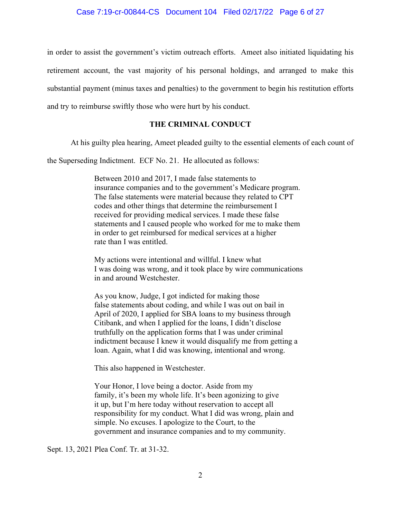## Case 7:19-cr-00844-CS Document 104 Filed 02/17/22 Page 6 of 27

in order to assist the government's victim outreach efforts. Ameet also initiated liquidating his retirement account, the vast majority of his personal holdings, and arranged to make this substantial payment (minus taxes and penalties) to the government to begin his restitution efforts and try to reimburse swiftly those who were hurt by his conduct.

# **THE CRIMINAL CONDUCT**

At his guilty plea hearing, Ameet pleaded guilty to the essential elements of each count of

the Superseding Indictment. ECF No. 21. He allocuted as follows:

Between 2010 and 2017, I made false statements to insurance companies and to the government's Medicare program. The false statements were material because they related to CPT codes and other things that determine the reimbursement I received for providing medical services. I made these false statements and I caused people who worked for me to make them in order to get reimbursed for medical services at a higher rate than I was entitled.

My actions were intentional and willful. I knew what I was doing was wrong, and it took place by wire communications in and around Westchester.

As you know, Judge, I got indicted for making those false statements about coding, and while I was out on bail in April of 2020, I applied for SBA loans to my business through Citibank, and when I applied for the loans, I didn't disclose truthfully on the application forms that I was under criminal indictment because I knew it would disqualify me from getting a loan. Again, what I did was knowing, intentional and wrong.

This also happened in Westchester.

Your Honor, I love being a doctor. Aside from my family, it's been my whole life. It's been agonizing to give it up, but I'm here today without reservation to accept all responsibility for my conduct. What I did was wrong, plain and simple. No excuses. I apologize to the Court, to the government and insurance companies and to my community.

Sept. 13, 2021 Plea Conf. Tr. at 31-32.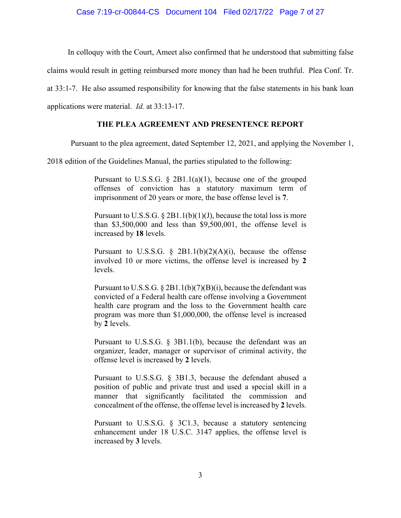# Case 7:19-cr-00844-CS Document 104 Filed 02/17/22 Page 7 of 27

In colloquy with the Court, Ameet also confirmed that he understood that submitting false

claims would result in getting reimbursed more money than had he been truthful. Plea Conf. Tr.

at 33:1-7. He also assumed responsibility for knowing that the false statements in his bank loan

applications were material. *Id.* at 33:13-17.

#### **THE PLEA AGREEMENT AND PRESENTENCE REPORT**

Pursuant to the plea agreement, dated September 12, 2021, and applying the November 1,

2018 edition of the Guidelines Manual, the parties stipulated to the following:

Pursuant to U.S.S.G. § 2B1.1(a)(1), because one of the grouped offenses of conviction has a statutory maximum term of imprisonment of 20 years or more, the base offense level is **7**.

Pursuant to U.S.S.G.  $\S 2B1.1(b)(1)(J)$ , because the total loss is more than \$3,500,000 and less than \$9,500,001, the offense level is increased by **18** levels.

Pursuant to U.S.S.G.  $\S$  2B1.1(b)(2)(A)(i), because the offense involved 10 or more victims, the offense level is increased by **2** levels.

Pursuant to U.S.S.G. § 2B1.1(b)(7)(B)(i), because the defendant was convicted of a Federal health care offense involving a Government health care program and the loss to the Government health care program was more than \$1,000,000, the offense level is increased by **2** levels.

Pursuant to U.S.S.G. § 3B1.1(b), because the defendant was an organizer, leader, manager or supervisor of criminal activity, the offense level is increased by **2** levels.

Pursuant to U.S.S.G. § 3B1.3, because the defendant abused a position of public and private trust and used a special skill in a manner that significantly facilitated the commission and concealment of the offense, the offense level is increased by **2** levels.

Pursuant to U.S.S.G. § 3C1.3, because a statutory sentencing enhancement under 18 U.S.C. 3147 applies, the offense level is increased by **3** levels.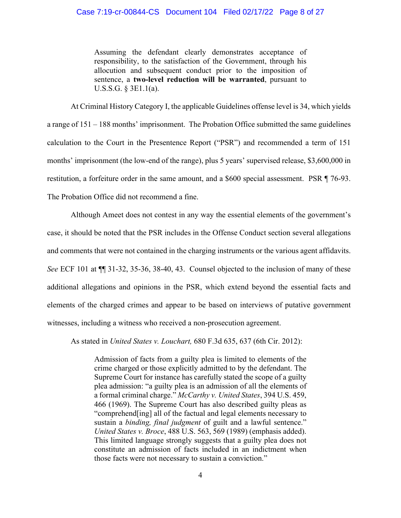# Case 7:19-cr-00844-CS Document 104 Filed 02/17/22 Page 8 of 27

Assuming the defendant clearly demonstrates acceptance of responsibility, to the satisfaction of the Government, through his allocution and subsequent conduct prior to the imposition of sentence, a **two-level reduction will be warranted**, pursuant to U.S.S.G. § 3E1.1(a).

At Criminal History Category I, the applicable Guidelines offense level is 34, which yields a range of 151 – 188 months' imprisonment. The Probation Office submitted the same guidelines calculation to the Court in the Presentence Report ("PSR") and recommended a term of 151 months' imprisonment (the low-end of the range), plus 5 years' supervised release, \$3,600,000 in restitution, a forfeiture order in the same amount, and a \$600 special assessment. PSR ¶ 76-93. The Probation Office did not recommend a fine.

Although Ameet does not contest in any way the essential elements of the government's case, it should be noted that the PSR includes in the Offense Conduct section several allegations and comments that were not contained in the charging instruments or the various agent affidavits. *See* ECF 101 at ¶¶ 31-32, 35-36, 38-40, 43. Counsel objected to the inclusion of many of these additional allegations and opinions in the PSR, which extend beyond the essential facts and elements of the charged crimes and appear to be based on interviews of putative government witnesses, including a witness who received a non-prosecution agreement.

As stated in *United States v. Louchart,* 680 F.3d 635, 637 (6th Cir. 2012):

Admission of facts from a guilty plea is limited to elements of the crime charged or those explicitly admitted to by the defendant. The Supreme Court for instance has carefully stated the scope of a guilty plea admission: "a guilty plea is an admission of all the elements of a formal criminal charge." *McCarthy v. United States*, 394 U.S. 459, 466 (1969). The Supreme Court has also described guilty pleas as "comprehend[ing] all of the factual and legal elements necessary to sustain a *binding, final judgment* of guilt and a lawful sentence." *United States v. Broce*, 488 U.S. 563, 569 (1989) (emphasis added). This limited language strongly suggests that a guilty plea does not constitute an admission of facts included in an indictment when those facts were not necessary to sustain a conviction."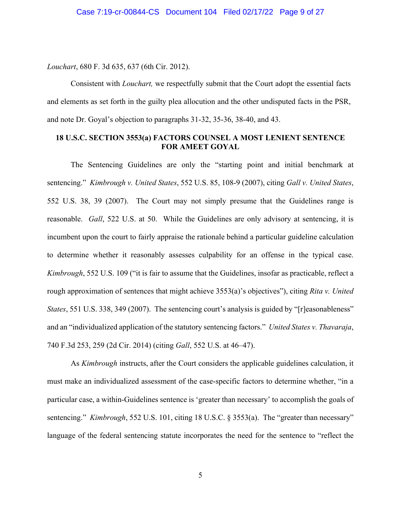*Louchart*, 680 F. 3d 635, 637 (6th Cir. 2012).

Consistent with *Louchart,* we respectfully submit that the Court adopt the essential facts and elements as set forth in the guilty plea allocution and the other undisputed facts in the PSR, and note Dr. Goyal's objection to paragraphs 31-32, 35-36, 38-40, and 43.

# **18 U.S.C. SECTION 3553(a) FACTORS COUNSEL A MOST LENIENT SENTENCE FOR AMEET GOYAL**

The Sentencing Guidelines are only the "starting point and initial benchmark at sentencing." *Kimbrough v. United States*, 552 U.S. 85, 108-9 (2007), citing *Gall v. United States*, 552 U.S. 38, 39 (2007). The Court may not simply presume that the Guidelines range is reasonable. *Gall*, 522 U.S. at 50. While the Guidelines are only advisory at sentencing, it is incumbent upon the court to fairly appraise the rationale behind a particular guideline calculation to determine whether it reasonably assesses culpability for an offense in the typical case. *Kimbrough*, 552 U.S. 109 ("it is fair to assume that the Guidelines, insofar as practicable, reflect a rough approximation of sentences that might achieve 3553(a)'s objectives"), citing *Rita v. United States*, 551 U.S. 338, 349 (2007). The sentencing court's analysis is guided by "[r]easonableness" and an "individualized application of the statutory sentencing factors." *United States v. Thavaraja*, 740 F.3d 253, 259 (2d Cir. 2014) (citing *Gall*, 552 U.S. at 46–47).

As *Kimbrough* instructs, after the Court considers the applicable guidelines calculation, it must make an individualized assessment of the case-specific factors to determine whether, "in a particular case, a within-Guidelines sentence is 'greater than necessary' to accomplish the goals of sentencing." *Kimbrough*, 552 U.S. 101, citing 18 U.S.C. § 3553(a). The "greater than necessary" language of the federal sentencing statute incorporates the need for the sentence to "reflect the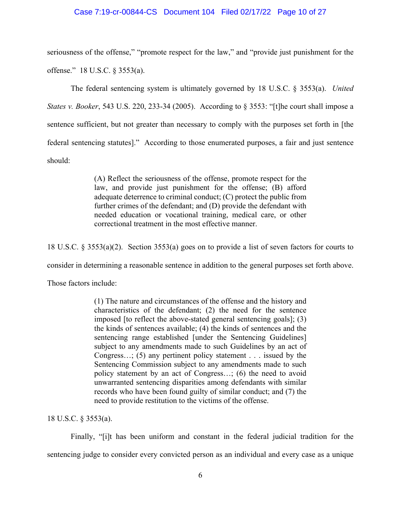# Case 7:19-cr-00844-CS Document 104 Filed 02/17/22 Page 10 of 27

seriousness of the offense," "promote respect for the law," and "provide just punishment for the offense." 18 U.S.C. § 3553(a).

The federal sentencing system is ultimately governed by 18 U.S.C. § 3553(a). *United States v. Booker*, 543 U.S. 220, 233-34 (2005). According to § 3553: "[t]he court shall impose a sentence sufficient, but not greater than necessary to comply with the purposes set forth in [the federal sentencing statutes]." According to those enumerated purposes, a fair and just sentence should:

> (A) Reflect the seriousness of the offense, promote respect for the law, and provide just punishment for the offense; (B) afford adequate deterrence to criminal conduct; (C) protect the public from further crimes of the defendant; and (D) provide the defendant with needed education or vocational training, medical care, or other correctional treatment in the most effective manner.

18 U.S.C. § 3553(a)(2). Section 3553(a) goes on to provide a list of seven factors for courts to

consider in determining a reasonable sentence in addition to the general purposes set forth above.

Those factors include:

(1) The nature and circumstances of the offense and the history and characteristics of the defendant; (2) the need for the sentence imposed [to reflect the above-stated general sentencing goals]; (3) the kinds of sentences available; (4) the kinds of sentences and the sentencing range established [under the Sentencing Guidelines] subject to any amendments made to such Guidelines by an act of Congress…; (5) any pertinent policy statement . . . issued by the Sentencing Commission subject to any amendments made to such policy statement by an act of Congress…; (6) the need to avoid unwarranted sentencing disparities among defendants with similar records who have been found guilty of similar conduct; and (7) the need to provide restitution to the victims of the offense.

18 U.S.C. § 3553(a).

Finally, "[i]t has been uniform and constant in the federal judicial tradition for the sentencing judge to consider every convicted person as an individual and every case as a unique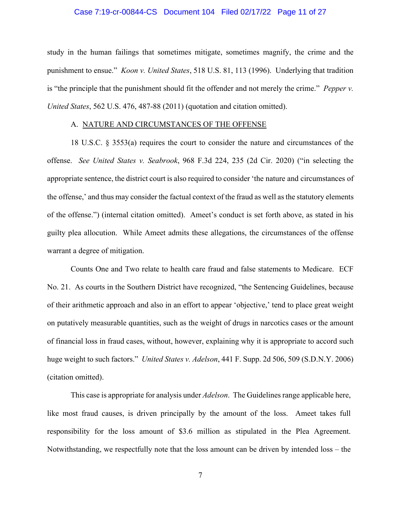# Case 7:19-cr-00844-CS Document 104 Filed 02/17/22 Page 11 of 27

study in the human failings that sometimes mitigate, sometimes magnify, the crime and the punishment to ensue." *Koon v. United States*, 518 U.S. 81, 113 (1996). Underlying that tradition is "the principle that the punishment should fit the offender and not merely the crime." *Pepper v. United States*, 562 U.S. 476, 487-88 (2011) (quotation and citation omitted).

#### A. NATURE AND CIRCUMSTANCES OF THE OFFENSE

18 U.S.C. § 3553(a) requires the court to consider the nature and circumstances of the offense. *See United States v. Seabrook*, 968 F.3d 224, 235 (2d Cir. 2020) ("in selecting the appropriate sentence, the district court is also required to consider 'the nature and circumstances of the offense,' and thus may consider the factual context of the fraud as well as the statutory elements of the offense.") (internal citation omitted). Ameet's conduct is set forth above, as stated in his guilty plea allocution. While Ameet admits these allegations, the circumstances of the offense warrant a degree of mitigation.

Counts One and Two relate to health care fraud and false statements to Medicare. ECF No. 21. As courts in the Southern District have recognized, "the Sentencing Guidelines, because of their arithmetic approach and also in an effort to appear 'objective,' tend to place great weight on putatively measurable quantities, such as the weight of drugs in narcotics cases or the amount of financial loss in fraud cases, without, however, explaining why it is appropriate to accord such huge weight to such factors." *United States v. Adelson*, 441 F. Supp. 2d 506, 509 (S.D.N.Y. 2006) (citation omitted).

This case is appropriate for analysis under *Adelson*. The Guidelines range applicable here, like most fraud causes, is driven principally by the amount of the loss. Ameet takes full responsibility for the loss amount of \$3.6 million as stipulated in the Plea Agreement. Notwithstanding, we respectfully note that the loss amount can be driven by intended loss – the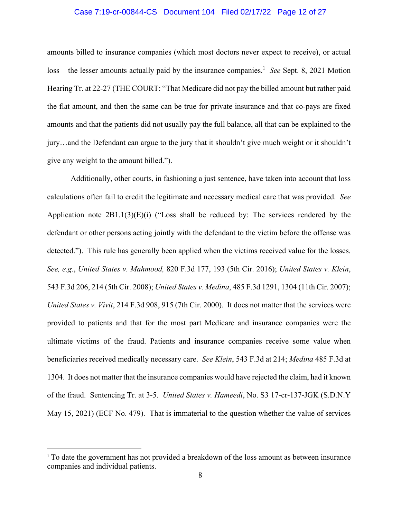# Case 7:19-cr-00844-CS Document 104 Filed 02/17/22 Page 12 of 27

amounts billed to insurance companies (which most doctors never expect to receive), or actual loss – the lesser amounts actually paid by the insurance companies.<sup>1</sup> See Sept. 8, 2021 Motion Hearing Tr. at 22-27 (THE COURT: "That Medicare did not pay the billed amount but rather paid the flat amount, and then the same can be true for private insurance and that co-pays are fixed amounts and that the patients did not usually pay the full balance, all that can be explained to the jury…and the Defendant can argue to the jury that it shouldn't give much weight or it shouldn't give any weight to the amount billed.").

Additionally, other courts, in fashioning a just sentence, have taken into account that loss calculations often fail to credit the legitimate and necessary medical care that was provided. *See* Application note  $2B1.1(3)(E)(i)$  ("Loss shall be reduced by: The services rendered by the defendant or other persons acting jointly with the defendant to the victim before the offense was detected."). This rule has generally been applied when the victims received value for the losses. *See, e.g*., *United States v. Mahmood,* 820 F.3d 177, 193 (5th Cir. 2016); *United States v. Klein*, 543 F.3d 206, 214 (5th Cir. 2008); *United States v. Medina*, 485 F.3d 1291, 1304 (11th Cir. 2007); *United States v. Vivit*, 214 F.3d 908, 915 (7th Cir. 2000). It does not matter that the services were provided to patients and that for the most part Medicare and insurance companies were the ultimate victims of the fraud. Patients and insurance companies receive some value when beneficiaries received medically necessary care. *See Klein*, 543 F.3d at 214; *Medina* 485 F.3d at 1304. It does not matter that the insurance companies would have rejected the claim, had it known of the fraud. Sentencing Tr. at 3-5. *United States v. Hameedi*, No. S3 17-cr-137-JGK (S.D.N.Y May 15, 2021) (ECF No. 479). That is immaterial to the question whether the value of services

<sup>&</sup>lt;sup>1</sup> To date the government has not provided a breakdown of the loss amount as between insurance companies and individual patients.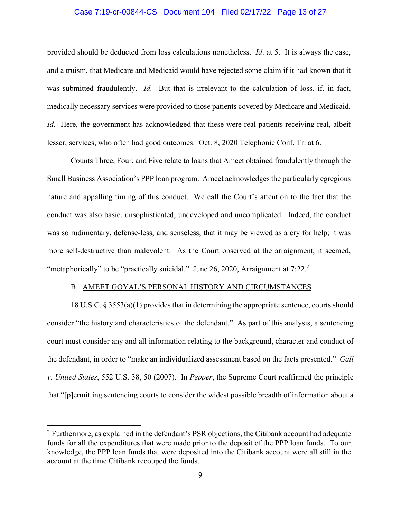# Case 7:19-cr-00844-CS Document 104 Filed 02/17/22 Page 13 of 27

provided should be deducted from loss calculations nonetheless. *Id*. at 5. It is always the case, and a truism, that Medicare and Medicaid would have rejected some claim if it had known that it was submitted fraudulently. *Id.* But that is irrelevant to the calculation of loss, if, in fact, medically necessary services were provided to those patients covered by Medicare and Medicaid. *Id.* Here, the government has acknowledged that these were real patients receiving real, albeit lesser, services, who often had good outcomes. Oct. 8, 2020 Telephonic Conf. Tr. at 6.

Counts Three, Four, and Five relate to loans that Ameet obtained fraudulently through the Small Business Association's PPP loan program. Ameet acknowledges the particularly egregious nature and appalling timing of this conduct. We call the Court's attention to the fact that the conduct was also basic, unsophisticated, undeveloped and uncomplicated. Indeed, the conduct was so rudimentary, defense-less, and senseless, that it may be viewed as a cry for help; it was more self-destructive than malevolent. As the Court observed at the arraignment, it seemed, "metaphorically" to be "practically suicidal." June 26, 2020, Arraignment at 7:22.<sup>2</sup>

# B. AMEET GOYAL'S PERSONAL HISTORY AND CIRCUMSTANCES

18 U.S.C. § 3553(a)(1) provides that in determining the appropriate sentence, courts should consider "the history and characteristics of the defendant." As part of this analysis, a sentencing court must consider any and all information relating to the background, character and conduct of the defendant, in order to "make an individualized assessment based on the facts presented." *Gall v. United States*, 552 U.S. 38, 50 (2007). In *Pepper*, the Supreme Court reaffirmed the principle that "[p]ermitting sentencing courts to consider the widest possible breadth of information about a

 $2$  Furthermore, as explained in the defendant's PSR objections, the Citibank account had adequate funds for all the expenditures that were made prior to the deposit of the PPP loan funds. To our knowledge, the PPP loan funds that were deposited into the Citibank account were all still in the account at the time Citibank recouped the funds.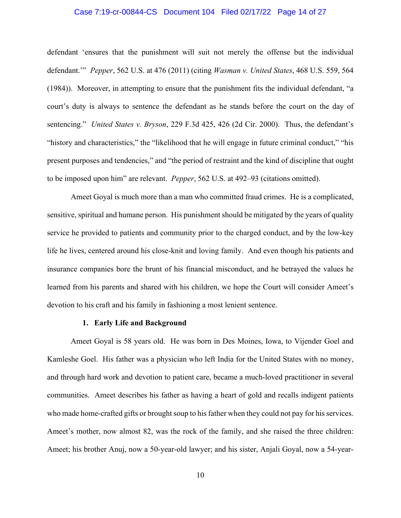# Case 7:19-cr-00844-CS Document 104 Filed 02/17/22 Page 14 of 27

defendant 'ensures that the punishment will suit not merely the offense but the individual defendant.'" *Pepper*, 562 U.S. at 476 (2011) (citing *Wasman v. United States*, 468 U.S. 559, 564 (1984)). Moreover, in attempting to ensure that the punishment fits the individual defendant, "a court's duty is always to sentence the defendant as he stands before the court on the day of sentencing." *United States v. Bryson*, 229 F.3d 425, 426 (2d Cir. 2000). Thus, the defendant's "history and characteristics," the "likelihood that he will engage in future criminal conduct," "his present purposes and tendencies," and "the period of restraint and the kind of discipline that ought to be imposed upon him" are relevant. *Pepper*, 562 U.S. at 492–93 (citations omitted).

Ameet Goyal is much more than a man who committed fraud crimes. He is a complicated, sensitive, spiritual and humane person. His punishment should be mitigated by the years of quality service he provided to patients and community prior to the charged conduct, and by the low-key life he lives, centered around his close-knit and loving family. And even though his patients and insurance companies bore the brunt of his financial misconduct, and he betrayed the values he learned from his parents and shared with his children, we hope the Court will consider Ameet's devotion to his craft and his family in fashioning a most lenient sentence.

# **1. Early Life and Background**

Ameet Goyal is 58 years old. He was born in Des Moines, Iowa, to Vijender Goel and Kamleshe Goel. His father was a physician who left India for the United States with no money, and through hard work and devotion to patient care, became a much-loved practitioner in several communities. Ameet describes his father as having a heart of gold and recalls indigent patients who made home-crafted gifts or brought soup to his father when they could not pay for his services. Ameet's mother, now almost 82, was the rock of the family, and she raised the three children: Ameet; his brother Anuj, now a 50-year-old lawyer; and his sister, Anjali Goyal, now a 54-year-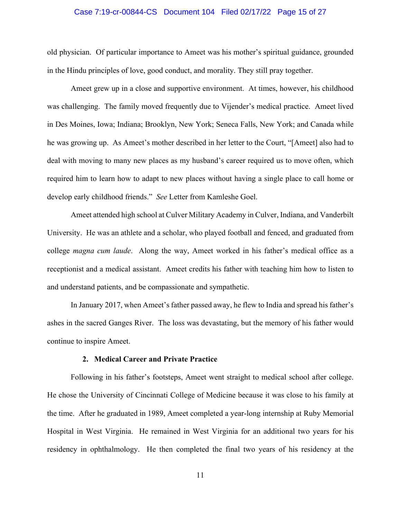# Case 7:19-cr-00844-CS Document 104 Filed 02/17/22 Page 15 of 27

old physician. Of particular importance to Ameet was his mother's spiritual guidance, grounded in the Hindu principles of love, good conduct, and morality. They still pray together.

Ameet grew up in a close and supportive environment. At times, however, his childhood was challenging. The family moved frequently due to Vijender's medical practice. Ameet lived in Des Moines, Iowa; Indiana; Brooklyn, New York; Seneca Falls, New York; and Canada while he was growing up. As Ameet's mother described in her letter to the Court, "[Ameet] also had to deal with moving to many new places as my husband's career required us to move often, which required him to learn how to adapt to new places without having a single place to call home or develop early childhood friends." *See* Letter from Kamleshe Goel.

Ameet attended high school at Culver Military Academy in Culver, Indiana, and Vanderbilt University. He was an athlete and a scholar, who played football and fenced, and graduated from college *magna cum laude*. Along the way, Ameet worked in his father's medical office as a receptionist and a medical assistant. Ameet credits his father with teaching him how to listen to and understand patients, and be compassionate and sympathetic.

In January 2017, when Ameet's father passed away, he flew to India and spread his father's ashes in the sacred Ganges River. The loss was devastating, but the memory of his father would continue to inspire Ameet.

# **2. Medical Career and Private Practice**

Following in his father's footsteps, Ameet went straight to medical school after college. He chose the University of Cincinnati College of Medicine because it was close to his family at the time. After he graduated in 1989, Ameet completed a year-long internship at Ruby Memorial Hospital in West Virginia. He remained in West Virginia for an additional two years for his residency in ophthalmology. He then completed the final two years of his residency at the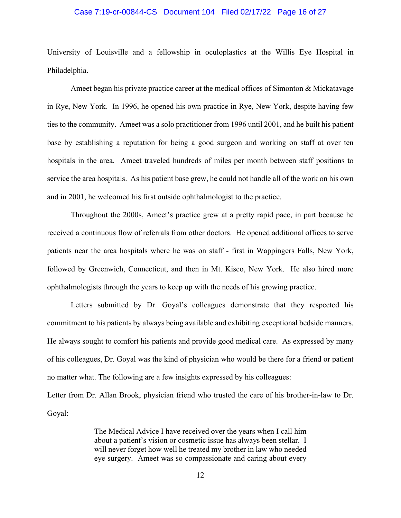# Case 7:19-cr-00844-CS Document 104 Filed 02/17/22 Page 16 of 27

University of Louisville and a fellowship in oculoplastics at the Willis Eye Hospital in Philadelphia.

Ameet began his private practice career at the medical offices of Simonton & Mickatavage in Rye, New York. In 1996, he opened his own practice in Rye, New York, despite having few ties to the community. Ameet was a solo practitioner from 1996 until 2001, and he built his patient base by establishing a reputation for being a good surgeon and working on staff at over ten hospitals in the area. Ameet traveled hundreds of miles per month between staff positions to service the area hospitals. As his patient base grew, he could not handle all of the work on his own and in 2001, he welcomed his first outside ophthalmologist to the practice.

Throughout the 2000s, Ameet's practice grew at a pretty rapid pace, in part because he received a continuous flow of referrals from other doctors. He opened additional offices to serve patients near the area hospitals where he was on staff - first in Wappingers Falls, New York, followed by Greenwich, Connecticut, and then in Mt. Kisco, New York. He also hired more ophthalmologists through the years to keep up with the needs of his growing practice.

Letters submitted by Dr. Goyal's colleagues demonstrate that they respected his commitment to his patients by always being available and exhibiting exceptional bedside manners. He always sought to comfort his patients and provide good medical care. As expressed by many of his colleagues, Dr. Goyal was the kind of physician who would be there for a friend or patient no matter what. The following are a few insights expressed by his colleagues:

Letter from Dr. Allan Brook, physician friend who trusted the care of his brother-in-law to Dr. Goyal:

> The Medical Advice I have received over the years when I call him about a patient's vision or cosmetic issue has always been stellar. I will never forget how well he treated my brother in law who needed eye surgery. Ameet was so compassionate and caring about every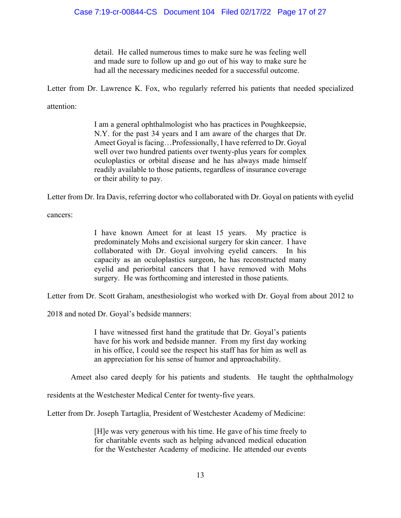detail. He called numerous times to make sure he was feeling well and made sure to follow up and go out of his way to make sure he had all the necessary medicines needed for a successful outcome.

Letter from Dr. Lawrence K. Fox, who regularly referred his patients that needed specialized

attention:

I am a general ophthalmologist who has practices in Poughkeepsie, N.Y. for the past 34 years and I am aware of the charges that Dr. Ameet Goyal is facing…Professionally, I have referred to Dr. Goyal well over two hundred patients over twenty-plus years for complex oculoplastics or orbital disease and he has always made himself readily available to those patients, regardless of insurance coverage or their ability to pay.

Letter from Dr. Ira Davis, referring doctor who collaborated with Dr. Goyal on patients with eyelid

cancers:

I have known Ameet for at least 15 years. My practice is predominately Mohs and excisional surgery for skin cancer. I have collaborated with Dr. Goyal involving eyelid cancers. In his capacity as an oculoplastics surgeon, he has reconstructed many eyelid and periorbital cancers that I have removed with Mohs surgery. He was forthcoming and interested in those patients.

Letter from Dr. Scott Graham, anesthesiologist who worked with Dr. Goyal from about 2012 to

2018 and noted Dr. Goyal's bedside manners:

I have witnessed first hand the gratitude that Dr. Goyal's patients have for his work and bedside manner. From my first day working in his office, I could see the respect his staff has for him as well as an appreciation for his sense of humor and approachability.

Ameet also cared deeply for his patients and students. He taught the ophthalmology

residents at the Westchester Medical Center for twenty-five years.

Letter from Dr. Joseph Tartaglia, President of Westchester Academy of Medicine:

[H]e was very generous with his time. He gave of his time freely to for charitable events such as helping advanced medical education for the Westchester Academy of medicine. He attended our events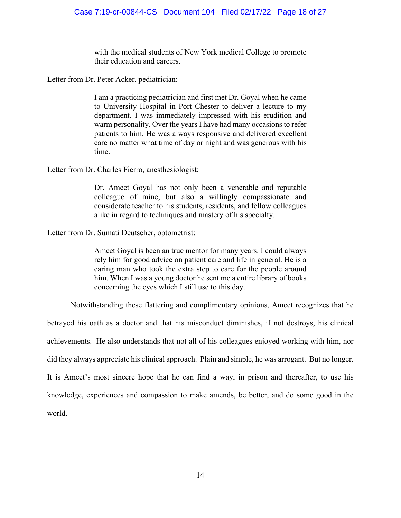with the medical students of New York medical College to promote their education and careers.

Letter from Dr. Peter Acker, pediatrician:

I am a practicing pediatrician and first met Dr. Goyal when he came to University Hospital in Port Chester to deliver a lecture to my department. I was immediately impressed with his erudition and warm personality. Over the years I have had many occasions to refer patients to him. He was always responsive and delivered excellent care no matter what time of day or night and was generous with his time.

Letter from Dr. Charles Fierro, anesthesiologist:

Dr. Ameet Goyal has not only been a venerable and reputable colleague of mine, but also a willingly compassionate and considerate teacher to his students, residents, and fellow colleagues alike in regard to techniques and mastery of his specialty.

Letter from Dr. Sumati Deutscher, optometrist:

Ameet Goyal is been an true mentor for many years. I could always rely him for good advice on patient care and life in general. He is a caring man who took the extra step to care for the people around him. When I was a young doctor he sent me a entire library of books concerning the eyes which I still use to this day.

Notwithstanding these flattering and complimentary opinions, Ameet recognizes that he

betrayed his oath as a doctor and that his misconduct diminishes, if not destroys, his clinical achievements. He also understands that not all of his colleagues enjoyed working with him, nor did they always appreciate his clinical approach. Plain and simple, he was arrogant. But no longer. It is Ameet's most sincere hope that he can find a way, in prison and thereafter, to use his knowledge, experiences and compassion to make amends, be better, and do some good in the world.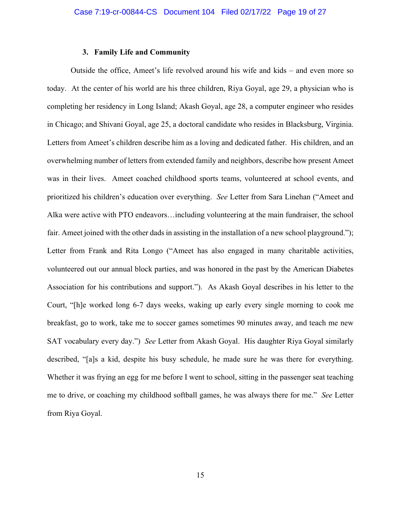## **3. Family Life and Community**

Outside the office, Ameet's life revolved around his wife and kids – and even more so today. At the center of his world are his three children, Riya Goyal, age 29, a physician who is completing her residency in Long Island; Akash Goyal, age 28, a computer engineer who resides in Chicago; and Shivani Goyal, age 25, a doctoral candidate who resides in Blacksburg, Virginia. Letters from Ameet's children describe him as a loving and dedicated father. His children, and an overwhelming number of letters from extended family and neighbors, describe how present Ameet was in their lives. Ameet coached childhood sports teams, volunteered at school events, and prioritized his children's education over everything. *See* Letter from Sara Linehan ("Ameet and Alka were active with PTO endeavors…including volunteering at the main fundraiser, the school fair. Ameet joined with the other dads in assisting in the installation of a new school playground."); Letter from Frank and Rita Longo ("Ameet has also engaged in many charitable activities, volunteered out our annual block parties, and was honored in the past by the American Diabetes Association for his contributions and support."). As Akash Goyal describes in his letter to the Court, "[h]e worked long 6-7 days weeks, waking up early every single morning to cook me breakfast, go to work, take me to soccer games sometimes 90 minutes away, and teach me new SAT vocabulary every day.") *See* Letter from Akash Goyal. His daughter Riya Goyal similarly described, "[a]s a kid, despite his busy schedule, he made sure he was there for everything. Whether it was frying an egg for me before I went to school, sitting in the passenger seat teaching me to drive, or coaching my childhood softball games, he was always there for me." *See* Letter from Riya Goyal.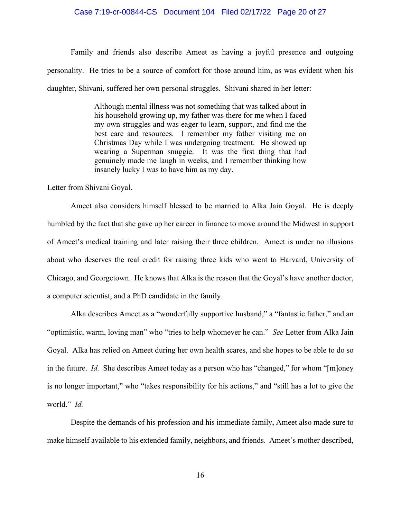# Case 7:19-cr-00844-CS Document 104 Filed 02/17/22 Page 20 of 27

Family and friends also describe Ameet as having a joyful presence and outgoing personality. He tries to be a source of comfort for those around him, as was evident when his daughter, Shivani, suffered her own personal struggles. Shivani shared in her letter:

> Although mental illness was not something that was talked about in his household growing up, my father was there for me when I faced my own struggles and was eager to learn, support, and find me the best care and resources. I remember my father visiting me on Christmas Day while I was undergoing treatment. He showed up wearing a Superman snuggie. It was the first thing that had genuinely made me laugh in weeks, and I remember thinking how insanely lucky I was to have him as my day.

Letter from Shivani Goyal.

Ameet also considers himself blessed to be married to Alka Jain Goyal. He is deeply humbled by the fact that she gave up her career in finance to move around the Midwest in support of Ameet's medical training and later raising their three children. Ameet is under no illusions about who deserves the real credit for raising three kids who went to Harvard, University of Chicago, and Georgetown. He knows that Alka is the reason that the Goyal's have another doctor, a computer scientist, and a PhD candidate in the family.

Alka describes Ameet as a "wonderfully supportive husband," a "fantastic father," and an "optimistic, warm, loving man" who "tries to help whomever he can." *See* Letter from Alka Jain Goyal. Alka has relied on Ameet during her own health scares, and she hopes to be able to do so in the future. *Id.* She describes Ameet today as a person who has "changed," for whom "[m]oney is no longer important," who "takes responsibility for his actions," and "still has a lot to give the world." *Id.*

Despite the demands of his profession and his immediate family, Ameet also made sure to make himself available to his extended family, neighbors, and friends. Ameet's mother described,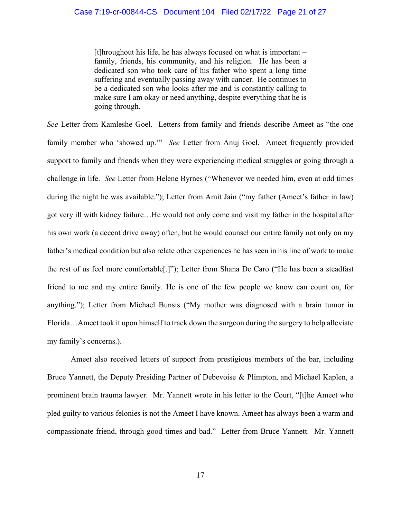[t]hroughout his life, he has always focused on what is important – family, friends, his community, and his religion. He has been a dedicated son who took care of his father who spent a long time suffering and eventually passing away with cancer. He continues to be a dedicated son who looks after me and is constantly calling to make sure I am okay or need anything, despite everything that he is going through.

*See* Letter from Kamleshe Goel. Letters from family and friends describe Ameet as "the one family member who 'showed up.'" *See* Letter from Anuj Goel. Ameet frequently provided support to family and friends when they were experiencing medical struggles or going through a challenge in life. *See* Letter from Helene Byrnes ("Whenever we needed him, even at odd times during the night he was available."); Letter from Amit Jain ("my father (Ameet's father in law) got very ill with kidney failure…He would not only come and visit my father in the hospital after his own work (a decent drive away) often, but he would counsel our entire family not only on my father's medical condition but also relate other experiences he has seen in his line of work to make the rest of us feel more comfortable[.]"); Letter from Shana De Caro ("He has been a steadfast friend to me and my entire family. He is one of the few people we know can count on, for anything."); Letter from Michael Bunsis ("My mother was diagnosed with a brain tumor in Florida…Ameet took it upon himself to track down the surgeon during the surgery to help alleviate my family's concerns.).

Ameet also received letters of support from prestigious members of the bar, including Bruce Yannett, the Deputy Presiding Partner of Debevoise & Plimpton, and Michael Kaplen, a prominent brain trauma lawyer. Mr. Yannett wrote in his letter to the Court, "[t]he Ameet who pled guilty to various felonies is not the Ameet I have known. Ameet has always been a warm and compassionate friend, through good times and bad." Letter from Bruce Yannett. Mr. Yannett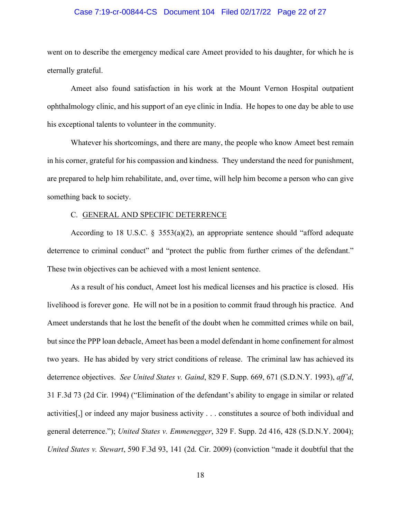# Case 7:19-cr-00844-CS Document 104 Filed 02/17/22 Page 22 of 27

went on to describe the emergency medical care Ameet provided to his daughter, for which he is eternally grateful.

Ameet also found satisfaction in his work at the Mount Vernon Hospital outpatient ophthalmology clinic, and his support of an eye clinic in India. He hopes to one day be able to use his exceptional talents to volunteer in the community.

Whatever his shortcomings, and there are many, the people who know Ameet best remain in his corner, grateful for his compassion and kindness. They understand the need for punishment, are prepared to help him rehabilitate, and, over time, will help him become a person who can give something back to society.

## C. GENERAL AND SPECIFIC DETERRENCE

According to 18 U.S.C.  $\S$  3553(a)(2), an appropriate sentence should "afford adequate deterrence to criminal conduct" and "protect the public from further crimes of the defendant." These twin objectives can be achieved with a most lenient sentence.

As a result of his conduct, Ameet lost his medical licenses and his practice is closed. His livelihood is forever gone. He will not be in a position to commit fraud through his practice. And Ameet understands that he lost the benefit of the doubt when he committed crimes while on bail, but since the PPP loan debacle, Ameet has been a model defendant in home confinement for almost two years. He has abided by very strict conditions of release. The criminal law has achieved its deterrence objectives. *See United States v. Gaind*, 829 F. Supp. 669, 671 (S.D.N.Y. 1993), *aff'd*, 31 F.3d 73 (2d Cir. 1994) ("Elimination of the defendant's ability to engage in similar or related activities[,] or indeed any major business activity . . . constitutes a source of both individual and general deterrence."); *United States v. Emmenegger*, 329 F. Supp. 2d 416, 428 (S.D.N.Y. 2004); *United States v. Stewart*, 590 F.3d 93, 141 (2d. Cir. 2009) (conviction "made it doubtful that the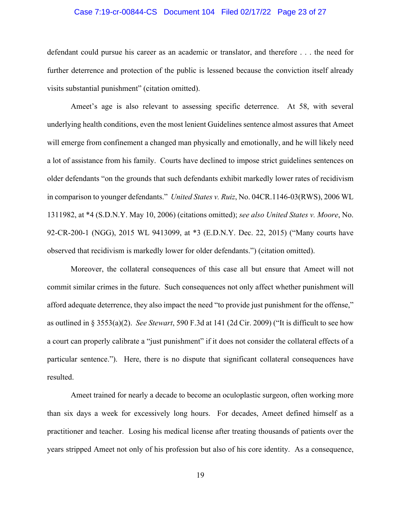# Case 7:19-cr-00844-CS Document 104 Filed 02/17/22 Page 23 of 27

defendant could pursue his career as an academic or translator, and therefore . . . the need for further deterrence and protection of the public is lessened because the conviction itself already visits substantial punishment" (citation omitted).

Ameet's age is also relevant to assessing specific deterrence. At 58, with several underlying health conditions, even the most lenient Guidelines sentence almost assures that Ameet will emerge from confinement a changed man physically and emotionally, and he will likely need a lot of assistance from his family. Courts have declined to impose strict guidelines sentences on older defendants "on the grounds that such defendants exhibit markedly lower rates of recidivism in comparison to younger defendants." *United States v. Ruiz*, No. 04CR.1146-03(RWS), 2006 WL 1311982, at \*4 (S.D.N.Y. May 10, 2006) (citations omitted); *see also United States v. Moore*, No. 92-CR-200-1 (NGG), 2015 WL 9413099, at \*3 (E.D.N.Y. Dec. 22, 2015) ("Many courts have observed that recidivism is markedly lower for older defendants.") (citation omitted).

Moreover, the collateral consequences of this case all but ensure that Ameet will not commit similar crimes in the future. Such consequences not only affect whether punishment will afford adequate deterrence, they also impact the need "to provide just punishment for the offense," as outlined in § 3553(a)(2). *See Stewart*, 590 F.3d at 141 (2d Cir. 2009) ("It is difficult to see how a court can properly calibrate a "just punishment" if it does not consider the collateral effects of a particular sentence."). Here, there is no dispute that significant collateral consequences have resulted.

Ameet trained for nearly a decade to become an oculoplastic surgeon, often working more than six days a week for excessively long hours. For decades, Ameet defined himself as a practitioner and teacher. Losing his medical license after treating thousands of patients over the years stripped Ameet not only of his profession but also of his core identity. As a consequence,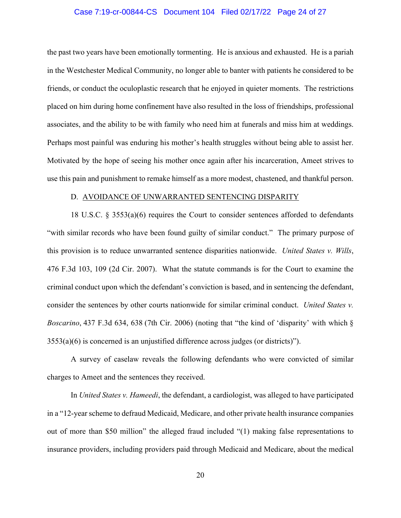# Case 7:19-cr-00844-CS Document 104 Filed 02/17/22 Page 24 of 27

the past two years have been emotionally tormenting. He is anxious and exhausted. He is a pariah in the Westchester Medical Community, no longer able to banter with patients he considered to be friends, or conduct the oculoplastic research that he enjoyed in quieter moments. The restrictions placed on him during home confinement have also resulted in the loss of friendships, professional associates, and the ability to be with family who need him at funerals and miss him at weddings. Perhaps most painful was enduring his mother's health struggles without being able to assist her. Motivated by the hope of seeing his mother once again after his incarceration, Ameet strives to use this pain and punishment to remake himself as a more modest, chastened, and thankful person.

#### D. AVOIDANCE OF UNWARRANTED SENTENCING DISPARITY

18 U.S.C. § 3553(a)(6) requires the Court to consider sentences afforded to defendants "with similar records who have been found guilty of similar conduct." The primary purpose of this provision is to reduce unwarranted sentence disparities nationwide. *United States v. Wills*, 476 F.3d 103, 109 (2d Cir. 2007). What the statute commands is for the Court to examine the criminal conduct upon which the defendant's conviction is based, and in sentencing the defendant, consider the sentences by other courts nationwide for similar criminal conduct. *United States v. Boscarino*, 437 F.3d 634, 638 (7th Cir. 2006) (noting that "the kind of 'disparity' with which § 3553(a)(6) is concerned is an unjustified difference across judges (or districts)").

A survey of caselaw reveals the following defendants who were convicted of similar charges to Ameet and the sentences they received.

In *United States v. Hameedi*, the defendant, a cardiologist, was alleged to have participated in a "12-year scheme to defraud Medicaid, Medicare, and other private health insurance companies out of more than \$50 million" the alleged fraud included "(1) making false representations to insurance providers, including providers paid through Medicaid and Medicare, about the medical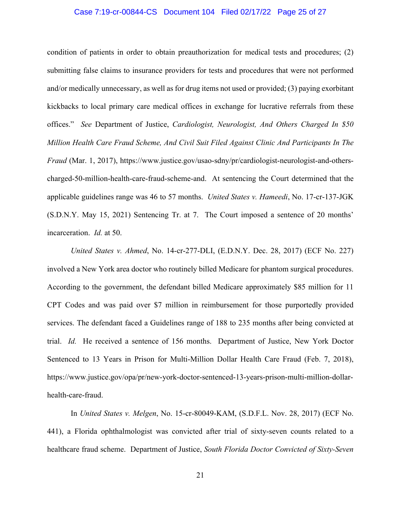# Case 7:19-cr-00844-CS Document 104 Filed 02/17/22 Page 25 of 27

condition of patients in order to obtain preauthorization for medical tests and procedures; (2) submitting false claims to insurance providers for tests and procedures that were not performed and/or medically unnecessary, as well as for drug items not used or provided; (3) paying exorbitant kickbacks to local primary care medical offices in exchange for lucrative referrals from these offices." *See* Department of Justice, *Cardiologist, Neurologist, And Others Charged In \$50 Million Health Care Fraud Scheme, And Civil Suit Filed Against Clinic And Participants In The Fraud* (Mar. 1, 2017), https://www.justice.gov/usao-sdny/pr/cardiologist-neurologist-and-otherscharged-50-million-health-care-fraud-scheme-and. At sentencing the Court determined that the applicable guidelines range was 46 to 57 months. *United States v. Hameedi*, No. 17-cr-137-JGK (S.D.N.Y. May 15, 2021) Sentencing Tr. at 7. The Court imposed a sentence of 20 months' incarceration. *Id.* at 50.

*United States v. Ahmed*, No. 14-cr-277-DLI, (E.D.N.Y. Dec. 28, 2017) (ECF No. 227) involved a New York area doctor who routinely billed Medicare for phantom surgical procedures. According to the government, the defendant billed Medicare approximately \$85 million for 11 CPT Codes and was paid over \$7 million in reimbursement for those purportedly provided services. The defendant faced a Guidelines range of 188 to 235 months after being convicted at trial. *Id.* He received a sentence of 156 months. Department of Justice, New York Doctor Sentenced to 13 Years in Prison for Multi-Million Dollar Health Care Fraud (Feb. 7, 2018), https://www.justice.gov/opa/pr/new-york-doctor-sentenced-13-years-prison-multi-million-dollarhealth-care-fraud.

 In *United States v. Melgen*, No. 15-cr-80049-KAM, (S.D.F.L. Nov. 28, 2017) (ECF No. 441), a Florida ophthalmologist was convicted after trial of sixty-seven counts related to a healthcare fraud scheme. Department of Justice, *South Florida Doctor Convicted of Sixty-Seven*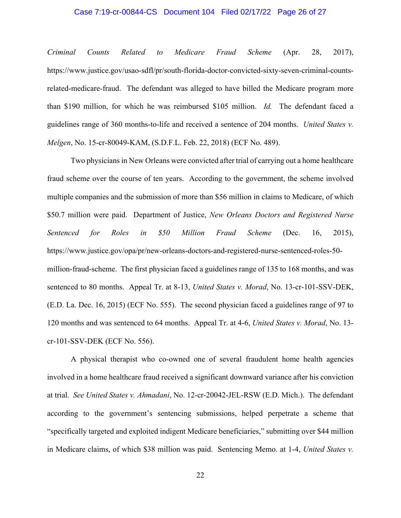# Case 7:19-cr-00844-CS Document 104 Filed 02/17/22 Page 26 of 27

*Criminal Counts Related to Medicare Fraud Scheme* (Apr. 28, 2017), https://www.justice.gov/usao-sdfl/pr/south-florida-doctor-convicted-sixty-seven-criminal-countsrelated-medicare-fraud. The defendant was alleged to have billed the Medicare program more than \$190 million, for which he was reimbursed \$105 million. *Id.* The defendant faced a guidelines range of 360 months-to-life and received a sentence of 204 months. *United States v. Melgen*, No. 15-cr-80049-KAM, (S.D.F.L. Feb. 22, 2018) (ECF No. 489).

Two physicians in New Orleans were convicted after trial of carrying out a home healthcare fraud scheme over the course of ten years. According to the government, the scheme involved multiple companies and the submission of more than \$56 million in claims to Medicare, of which \$50.7 million were paid. Department of Justice, *New Orleans Doctors and Registered Nurse Sentenced for Roles in \$50 Million Fraud Scheme* (Dec. 16, 2015), https://www.justice.gov/opa/pr/new-orleans-doctors-and-registered-nurse-sentenced-roles-50 million-fraud-scheme. The first physician faced a guidelines range of 135 to 168 months, and was sentenced to 80 months. Appeal Tr. at 8-13, *United States v. Morad*, No. 13-cr-101-SSV-DEK, (E.D. La. Dec. 16, 2015) (ECF No. 555). The second physician faced a guidelines range of 97 to 120 months and was sentenced to 64 months. Appeal Tr. at 4-6, *United States v. Morad*, No. 13 cr-101-SSV-DEK (ECF No. 556).

 A physical therapist who co-owned one of several fraudulent home health agencies involved in a home healthcare fraud received a significant downward variance after his conviction at trial. *See United States v. Ahmadani*, No. 12-cr-20042-JEL-RSW (E.D. Mich.). The defendant according to the government's sentencing submissions, helped perpetrate a scheme that "specifically targeted and exploited indigent Medicare beneficiaries," submitting over \$44 million in Medicare claims, of which \$38 million was paid. Sentencing Memo. at 1-4, *United States v.*